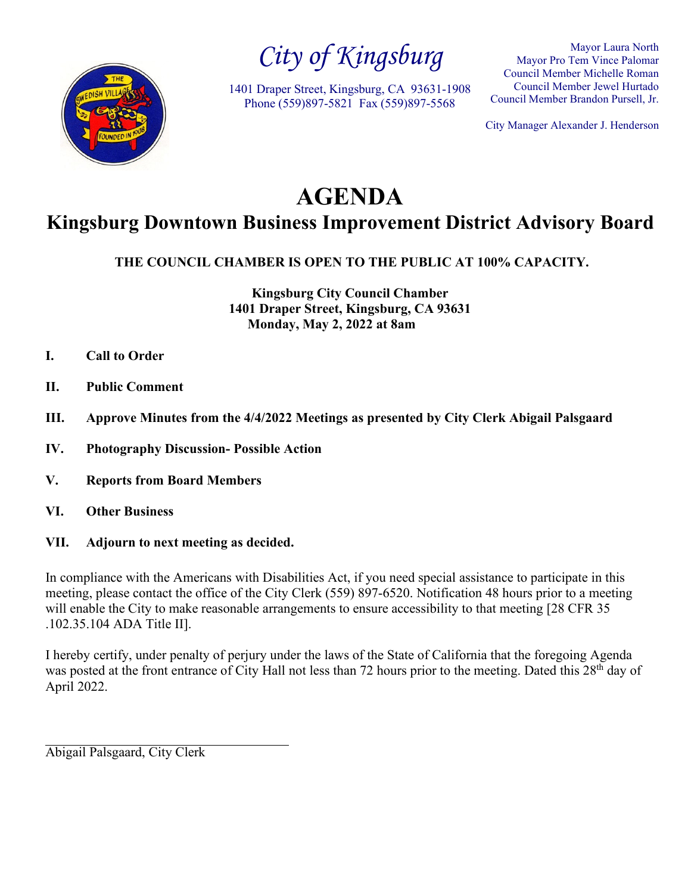

*City of Kingsburg*

1401 Draper Street, Kingsburg, CA 93631-1908 Phone (559)897-5821 Fax (559)897-5568

Mayor Laura North Mayor Pro Tem Vince Palomar Council Member Michelle Roman Council Member Jewel Hurtado Council Member Brandon Pursell, Jr.

City Manager Alexander J. Henderson

# **AGENDA**

## **Kingsburg Downtown Business Improvement District Advisory Board**

**THE COUNCIL CHAMBER IS OPEN TO THE PUBLIC AT 100% CAPACITY.**

**Kingsburg City Council Chamber 1401 Draper Street, Kingsburg, CA 93631 Monday, May 2, 2022 at 8am**

- **I. Call to Order**
- **II. Public Comment**
- **III. Approve Minutes from the 4/4/2022 Meetings as presented by City Clerk Abigail Palsgaard**
- **IV. Photography Discussion- Possible Action**
- **V. Reports from Board Members**
- **VI. Other Business**
- **VII. Adjourn to next meeting as decided.**

In compliance with the Americans with Disabilities Act, if you need special assistance to participate in this meeting, please contact the office of the City Clerk (559) 897-6520. Notification 48 hours prior to a meeting will enable the City to make reasonable arrangements to ensure accessibility to that meeting [28 CFR 35] .102.35.104 ADA Title II].

I hereby certify, under penalty of perjury under the laws of the State of California that the foregoing Agenda was posted at the front entrance of City Hall not less than 72 hours prior to the meeting. Dated this 28<sup>th</sup> day of April 2022.

Abigail Palsgaard, City Clerk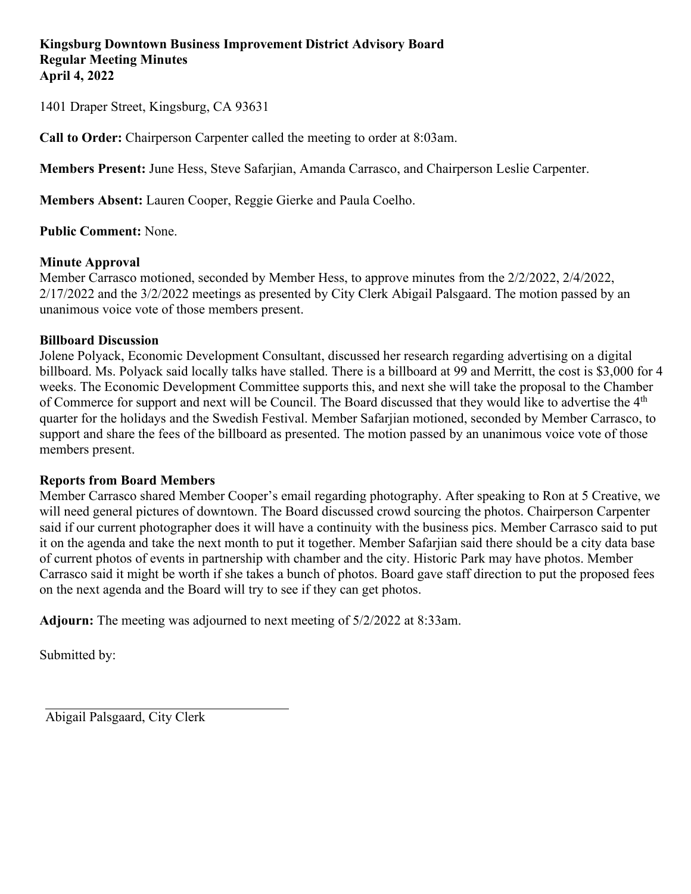1401 Draper Street, Kingsburg, CA 93631

**Call to Order:** Chairperson Carpenter called the meeting to order at 8:03am.

**Members Present:** June Hess, Steve Safarjian, Amanda Carrasco, and Chairperson Leslie Carpenter.

**Members Absent:** Lauren Cooper, Reggie Gierke and Paula Coelho.

**Public Comment:** None.

### **Minute Approval**

Member Carrasco motioned, seconded by Member Hess, to approve minutes from the 2/2/2022, 2/4/2022, 2/17/2022 and the 3/2/2022 meetings as presented by City Clerk Abigail Palsgaard. The motion passed by an unanimous voice vote of those members present.

### **Billboard Discussion**

Jolene Polyack, Economic Development Consultant, discussed her research regarding advertising on a digital billboard. Ms. Polyack said locally talks have stalled. There is a billboard at 99 and Merritt, the cost is \$3,000 for 4 weeks. The Economic Development Committee supports this, and next she will take the proposal to the Chamber of Commerce for support and next will be Council. The Board discussed that they would like to advertise the 4th quarter for the holidays and the Swedish Festival. Member Safarjian motioned, seconded by Member Carrasco, to support and share the fees of the billboard as presented. The motion passed by an unanimous voice vote of those members present.

### **Reports from Board Members**

Member Carrasco shared Member Cooper's email regarding photography. After speaking to Ron at 5 Creative, we will need general pictures of downtown. The Board discussed crowd sourcing the photos. Chairperson Carpenter said if our current photographer does it will have a continuity with the business pics. Member Carrasco said to put it on the agenda and take the next month to put it together. Member Safarjian said there should be a city data base of current photos of events in partnership with chamber and the city. Historic Park may have photos. Member Carrasco said it might be worth if she takes a bunch of photos. Board gave staff direction to put the proposed fees on the next agenda and the Board will try to see if they can get photos.

**Adjourn:** The meeting was adjourned to next meeting of 5/2/2022 at 8:33am.

Submitted by:

Abigail Palsgaard, City Clerk